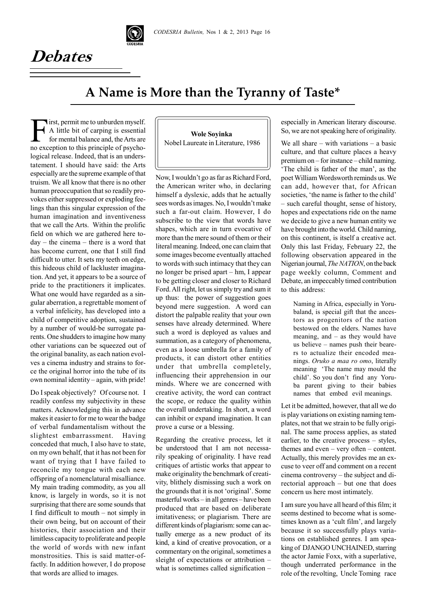

## **Debates**

## **A Name is More than the Tyranny of Taste\***

First, permit me to unburden myself.<br>A little bit of carping is essential<br>for mental balance and, the Arts are<br>no excention to this principle of psycho-A little bit of carping is essential for mental balance and, the Arts are no exception to this principle of psychological release. Indeed, that is an understatement. I should have said: the Arts especially are the supreme example of that truism. We all know that there is no other human preoccupation that so readily provokes either suppressed or exploding feelings than this singular expression of the human imagination and inventiveness that we call the Arts. Within the prolific field on which we are gathered here today – the cinema – there is a word that has become current, one that I still find difficult to utter. It sets my teeth on edge, this hideous child of lackluster imagination. And yet, it appears to be a source of pride to the practitioners it implicates. What one would have regarded as a singular aberration, a regrettable moment of a verbal infelicity, has developed into a child of competitive adoption, sustained by a number of would-be surrogate parents. One shudders to imagine how many other variations can be squeezed out of the original banality, as each nation evolves a cinema industry and strains to force the original horror into the tube of its own nominal identity – again, with pride!

Do I speak objectively? Of course not. I readily confess my subjectivity in these matters. Acknowledging this in advance makes it easier to for me to wear the badge of verbal fundamentalism without the slightest embarrassment. Having conceded that much, I also have to state, on my own behalf, that it has not been for want of trying that I have failed to reconcile my tongue with each new offspring of a nomenclatural misalliance. My main trading commodity, as you all know, is largely in words, so it is not surprising that there are some sounds that I find difficult to mouth – not simply in their own being, but on account of their histories, their association and their limitless capacity to proliferate and people the world of words with new infant monstrosities. This is said matter-offactly. In addition however, I do propose that words are allied to images.

## **Wole Soyinka** Nobel Laureate in Literature, 1986

Now, I wouldn't go as far as Richard Ford, the American writer who, in declaring himself a dyslexic, adds that he actually sees words as images. No, I wouldn't make such a far-out claim. However, I do subscribe to the view that words have shapes, which are in turn evocative of more than the mere sound of them or their literal meaning. Indeed, one can claim that some images become eventually attached to words with such intimacy that they can no longer be prised apart – hm, I appear to be getting closer and closer to Richard Ford. All right, let us simply try and sum it up thus: the power of suggestion goes beyond mere suggestion. A word can distort the palpable reality that your own senses have already determined. Where such a word is deployed as values and summation, as a category of phenomena, even as a loose umbrella for a family of products, it can distort other entities under that umbrella completely, influencing their apprehension in our minds. Where we are concerned with creative activity, the word can contract the scope, or reduce the quality within the overall undertaking. In short, a word can inhibit or expand imagination. It can prove a curse or a blessing.

Regarding the creative process, let it be understood that I am not necessarily speaking of originality. I have read critiques of artistic works that appear to make originality the benchmark of creativity, blithely dismissing such a work on the grounds that it is not 'original'. Some masterful works – in all genres – have been produced that are based on deliberate imitativeness; or plagiarism. There are different kinds of plagiarism: some can actually emerge as a new product of its kind, a kind of creative provocation, or a commentary on the original, sometimes a sleight of expectations or attribution – what is sometimes called signification – especially in American literary discourse. So, we are not speaking here of originality.

We all share – with variations – a basic culture, and that culture places a heavy premium on – for instance – child naming. 'The child is father of the man', as the poet William Wordsworth reminds us. We can add, however that, for African societies, 'the name is father to the child' – such careful thought, sense of history, hopes and expectations ride on the name we decide to give a new human entity we have brought into the world. Child naming, on this continent, is itself a creative act. Only this last Friday, February 22, the following observation appeared in the Nigerian journal, *The NATION*, on the back page weekly column, Comment and Debate, an impeccably timed contribution to this address:

> Naming in Africa, especially in Yorubaland, is special gift that the ancestors as progenitors of the nation bestowed on the elders. Names have meaning, and – as they would have us believe – names push their bearers to actualize their encoded meanings. *Oruko a maa ro omo*, literally meaning 'The name may mould the child'. So you don't find any Yoruba parent giving to their babies names that embed evil meanings.

Let it be admitted, however, that all we do is play variations on existing naming templates, not that we strain to be fully original. The same process applies, as stated earlier, to the creative process – styles, themes and even – very often – content. Actually, this merely provides me an excuse to veer off and comment on a recent cinema controversy – the subject and directorial approach – but one that does concern us here most intimately.

I am sure you have all heard of this film; it seems destined to become what is sometimes known as a 'cult film', and largely because it so successfully plays variations on established genres. I am speaking of DJANGO UNCHAINED, starring the actor Jamie Foxx, with a superlative, though underrated performance in the role of the revolting, Uncle Toming race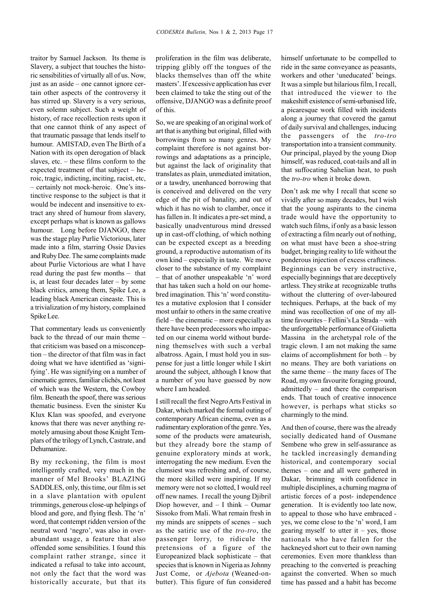traitor by Samuel Jackson. Its theme is Slavery, a subject that touches the historic sensibilities of virtually all of us. Now, just as an aside – one cannot ignore certain other aspects of the controversy it has stirred up. Slavery is a very serious, even solemn subject. Such a weight of history, of race recollection rests upon it that one cannot think of any aspect of that traumatic passage that lends itself to humour. AMISTAD, even The Birth of a Nation with its open derogation of black slaves, etc. – these films conform to the expected treatment of that subject – heroic, tragic, indicting, inciting, racist, etc, – certainly not mock-heroic. One's instinctive response to the subject is that it would be indecent and insensitive to extract any shred of humour from slavery, except perhaps what is known as gallows humour. Long before DJANGO, there was the stage play Purlie Victorious, later made into a film, starring Ossie Davies and Ruby Dee. The same complaints made about Purlie Victorious are what I have read during the past few months – that is, at least four decades later – by some black critics, among them, Spike Lee, a leading black American cineaste. This is a trivialization of my history, complained Spike Lee.

That commentary leads us conveniently back to the thread of our main theme – that criticism was based on a misconception – the director of that film was in fact doing what we have identified as 'signifying'. He was signifying on a number of cinematic genres, familiar clichés, not least of which was the Western, the Cowboy film. Beneath the spoof, there was serious thematic business. Even the sinister Ku Klux Klan was spoofed, and everyone knows that there was never anything remotely amusing about those Knight Templars of the trilogy of Lynch, Castrate, and Dehumanize.

By my reckoning, the film is most intelligently crafted, very much in the manner of Mel Brooks' BLAZING SADDLES, only, this time, our film is set in a slave plantation with opulent trimmings, generous close-up helpings of blood and gore, and flying flesh. The 'n' word, that contempt ridden version of the neutral word 'negro', was also in overabundant usage, a feature that also offended some sensibilities. I found this complaint rather strange, since it indicated a refusal to take into account, not only the fact that the word was historically accurate, but that its proliferation in the film was deliberate, tripping glibly off the tongues of the blacks themselves than off the white masters'. If excessive application has ever been claimed to take the sting out of the offensive, DJANGO was a definite proof of this.

So, we are speaking of an original work of art that is anything but original, filled with borrowings from so many genres. My complaint therefore is not against borrowings and adaptations as a principle, but against the lack of originality that translates as plain, unmediated imitation, or a tawdry, unenhanced borrowing that is conceived and delivered on the very edge of the pit of banality, and out of which it has no wish to clamber, once it has fallen in. It indicates a pre-set mind, a basically unadventurous mind dressed up in cast-off clothing, of which nothing can be expected except as a breeding ground, a reproductive automatism of its own kind – especially in taste. We move closer to the substance of my complaint – that of another unspeakable 'n' word that has taken such a hold on our homebred imagination. This 'n' word constitutes a mutative explosion that I consider most unfair to others in the same creative field – the cinematic – more especially as there have been predecessors who impacted on our cinema world without burdening themselves with such a verbal albatross. Again, I must hold you in suspense for just a little longer while I skirt around the subject, although I know that a number of you have guessed by now where I am headed.

I still recall the first Negro Arts Festival in Dakar, which marked the formal outing of contemporary African cinema, even as a rudimentary exploration of the genre. Yes, some of the products were amateurish, but they already bore the stamp of genuine exploratory minds at work, interrogating the new medium. Even the clumsiest was refreshing and, of course, the more skilled were inspiring. If my memory were not so clotted, I would reel off new names. I recall the young Djibril Diop however, and  $-$  I think  $-$  Oumar Sissoko from Mali. What remain fresh in my minds are snippets of scenes – such as the satiric use of the *tro-tro*, the passenger lorry, to ridicule the pretensions of a figure of the Europeanized black sophisticate – that species that is known in Nigeria as Johnny Just Come, or *Ajebota* (Weaned-onbutter). This figure of fun considered

himself unfortunate to be compelled to ride in the same conveyance as peasants, workers and other 'uneducated' beings. It was a simple but hilarious film, I recall, that introduced the viewer to the makeshift existence of semi-urbanised life, a picaresque work filled with incidents along a journey that covered the gamut of daily survival and challenges, inducing the passengers of the *tro-tro* transportation into a transient community. Our principal, played by the young Diop himself, was reduced, coat-tails and all in that suffocating Sahelian heat, to push the *tro-tro* when it broke down.

Don't ask me why I recall that scene so vividly after so many decades, but I wish that the young aspirants to the cinema trade would have the opportunity to watch such films, if only as a basic lesson of extracting a film nearly out of nothing, on what must have been a shoe-string budget, bringing reality to life without the ponderous injection of excess craftiness. Beginnings can be very instructive, especially beginnings that are deceptively artless. They strike at recognizable truths without the cluttering of over-laboured techniques. Perhaps, at the back of my mind was recollection of one of my alltime favourites – Fellini's La Strada – with the unforgettable performance of Giulietta Massina in the archetypal role of the tragic clown. I am not making the same claims of accomplishment for both – by no means. They are both variations on the same theme – the many faces of The Road, my own favourite foraging ground, admittedly – and there the comparison ends. That touch of creative innocence however, is perhaps what sticks so charmingly to the mind.

And then of course, there was the already socially dedicated hand of Ousmane Sembene who grew in self-assurance as he tackled increasingly demanding historical, and contemporary social themes – one and all were gathered in Dakar, brimming with confidence in multiple disciplines, a churning magma of artistic forces of a post- independence generation. It is evidently too late now, to appeal to those who have embraced yes, we come close to the 'n' word, I am gearing myself to utter it  $-$  yes, those nationals who have fallen for the hackneyed short cut to their own naming ceremonies. Even more thankless than preaching to the converted is preaching against the converted. When so much time has passed and a habit has become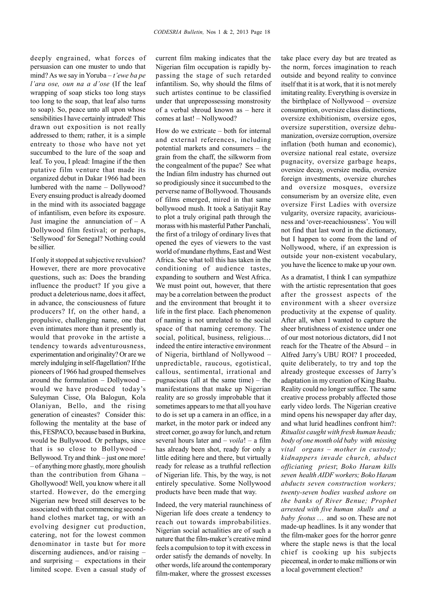deeply engrained, what forces of persuasion can one muster to undo that mind? As we say in Yoruba – *t'ewe ba pe l'ara ose, oun na a d'ose* (If the leaf wrapping of soap sticks too long stays too long to the soap, that leaf also turns to soap). So, peace unto all upon whose sensibilities I have certainly intruded! This drawn out exposition is not really addressed to them; rather, it is a simple entreaty to those who have not yet succumbed to the lure of the soap and leaf. To you, I plead: Imagine if the then putative film venture that made its organized debut in Dakar 1966 had been lumbered with the name – Dollywood? Every ensuing product is already doomed in the mind with its associated baggage of infantilism, even before its exposure. Just imagine the annunciation of  $-$  A Dollywood film festival; or perhaps, 'Sellywood' for Senegal? Nothing could be sillier.

If only it stopped at subjective revulsion? However, there are more provocative questions, such as: Does the branding influence the product? If you give a product a deleterious name, does it affect, in advance, the consciousness of future producers? If, on the other hand, a propulsive, challenging name, one that even intimates more than it presently is, would that provoke in the artiste a tendency towards adventurousness, experimentation and originality? Or are we merely indulging in self-flagellation? If the pioneers of 1966 had grouped themselves around the formulation – Dollywood – would we have produced today's Suleyman Cisse, Ola Balogun, Kola Olaniyan, Bello, and the rising generation of cineastes? Consider this: following the mentality at the base of this, FESPACO, because based in Burkina, would be Bullywood. Or perhaps, since that is so close to Bollywood – Bellywood. Try and think – just one more! – of anything more ghastly, more ghoulish than the contribution from Ghana – Ghollywood! Well, you know where it all started. However, do the emerging Nigerian new breed still deserves to be associated with that commencing secondhand clothes market tag, or with an evolving designer cut production, catering, not for the lowest common denominator in taste but for more discerning audiences, and/or raising – and surprising – expectations in their limited scope. Even a casual study of current film making indicates that the Nigerian film occupation is rapidly bypassing the stage of such retarded infantilism. So, why should the films of such artistes continue to be classified under that unprepossessing monstrosity of a verbal shroud known as – here it comes at last! – Nollywood?

How do we extricate – both for internal and external references, including potential markets and consumers – the grain from the chaff, the silkworm from the congealment of the pupae? See what the Indian film industry has churned out so prodigiously since it succumbed to the perverse name of Bollywood. Thousands of films emerged, mired in that same bollywood mush. It took a Satiyajit Ray to plot a truly original path through the morass with his masterful Pather Panchali, the first of a trilogy of ordinary lives that opened the eyes of viewers to the vast world of mundane rhythms, East and West Africa. See what toll this has taken in the conditioning of audience tastes, expanding to southern and West Africa. We must point out, however, that there may be a correlation between the product and the environment that brought it to life in the first place. Each phenomenon of naming is not unrelated to the social space of that naming ceremony. The social, political, business, religious… indeed the entire interactive environment of Nigeria, birthland of Nollywood – unpredictable, raucous, egotistical, callous, sentimental, irrational and pugnacious (all at the same time) – the manifestations that make up Nigerian reality are so grossly improbable that it sometimes appears to me that all you have to do is set up a camera in an office, in a market, in the motor park or indeed any street corner, go away for lunch, and return several hours later and – *voila*! – a film has already been shot, ready for only a little editing here and there, but virtually ready for release as a truthful reflection of Nigerian life. This, by the way, is not entirely speculative. Some Nollywood products have been made that way.

Indeed, the very material raunchiness of Nigerian life does create a tendency to reach out towards improbabilities. Nigerian social actualities are of such a nature that the film-maker's creative mind feels a compulsion to top it with excess in order satisfy the demands of novelty. In other words, life around the contemporary film-maker, where the grossest excesses

take place every day but are treated as the norm, forces imagination to reach outside and beyond reality to convince itself that it is at work, that it is not merely imitating reality. Everything is oversize in the birthplace of Nollywood – oversize consumption, oversize class distinctions, oversize exhibitionism, oversize egos, oversize superstition, oversize dehumanization, oversize corruption, oversize inflation (both human and economic), oversize national real estate, oversize pugnacity, oversize garbage heaps, oversize decay, oversize media, oversize foreign investments, oversize churches and oversize mosques, oversize consumerism by an oversize elite, even oversize First Ladies with oversize vulgarity, oversize rapacity, avariciousness and 'over-reeachiousness'. You will not find that last word in the dictionary, but I happen to come from the land of Nollywood, where, if an expression is outside your non-existent vocabulary, you have the licence to make up your own.

As a dramatist, I think I can sympathize with the artistic representation that goes after the grossest aspects of the environment with a sheer oversize productivity at the expense of quality. After all, when I wanted to capture the sheer brutishness of existence under one of our most notorious dictators, did I not reach for the Theatre of the Absurd – in Alfred Jarry's UBU ROI? I proceeded, quite deliberately, to try and top the already grosteque excesses of Jarry's adaptation in my creation of King Baabu. Reality could no longer suffice. The same creative process probably affected those early video lords. The Nigerian creative mind opens his newspaper day after day, and what lurid headlines confront him?: *Ritualist caught with fresh human heads; body of one month old baby with missing vital organs – mother in custody; kidnappers invade church, abduct officiating priest*; *Boko Haram kills seven health AIDF workers; Boko Haram abducts seven construction workers; twenty-seven bodies washed ashore on the banks of River Benue; Prophet arrested with five human skulls and a baby feotus* … and so on. These are not made-up headlines. Is it any wonder that the film-maker goes for the horror genre where the staple news is that the local chief is cooking up his subjects piecemeal, in order to make millions or win a local government election?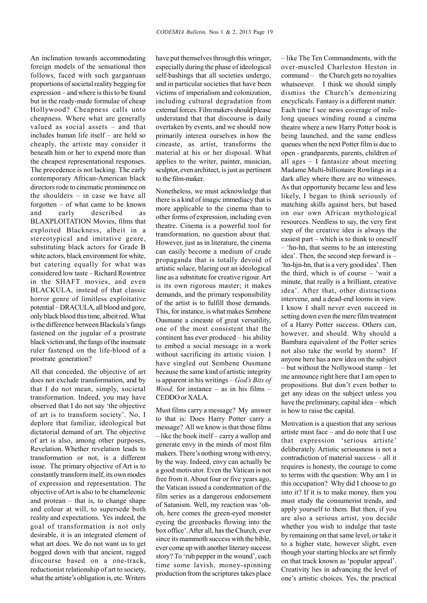An inclination towards accommodating foreign models of the sensational then follows, faced with such gargantuan proportions of societal reality begging for expression – and where is this to be found but in the ready-made formulae of cheap Hollywood? Cheapness calls unto cheapness. Where what are generally valued as social assets – and that includes human life itself – are held so cheaply, the artiste may consider it beneath him or her to expend more than the cheapest representational responses. The precedence is not lacking. The early contemporary African-American black directors rode to cinematic prominence on the shoulders – in case we have all forgotten – of what came to be known and early described as BLAXPLOITATION Movies, films that exploited Blackness, albeit in a stereotypical and imitative genre, substituting black actors for Grade B white actors, black environment for white, but catering equally for what was considered low taste – Richard Rowntree in the SHAFT movies, and even BLACKULA, instead of that classic horror genre of limitless exploitative potential – DRACULA, all blood and gore, only black blood this time, albeit red. What is the difference between Blackula's fangs fastened on the jugular of a prostrate black victim and, the fangs of the insensate ruler fastened on the life-blood of a prostrate generation?

All that conceded, the objective of art does not exclude transformation, and by that I do not mean, simply, societal transformation. Indeed, you may have observed that I do not say 'the objective of art is to transform society'. No, I deplore that familiar, ideological but dictatorial demand of art. The objective of art is also, among other purposes, Revelation. Whether revelation leads to transformation or not, is a different issue. The primary objective of Art is to constantly transform itself, its own modes of expression and representation. The objective of Art is also to be chameleonic and protean – that is, to change shape and colour at will, to supersede both reality and expectations. Yes indeed, the goal of transformation is not only desirable, it is an integrated element of what art does. We do not want us to get bogged down with that ancient, ragged discourse based on a one-track, reductionist relationship of art to society, what the artiste's obligation is, etc. Writers

have put themselves through this wringer, especially during the phase of ideological self-bashings that all societies undergo, and in particular societies that have been victims of imperialism and colonization, including cultural degradation from external forces. Film makers should please understand that that discourse is daily overtaken by events, and we should now primarily interest ourselves in how the cineaste, as artist, transforms the material at his or her disposal. What applies to the writer, painter, musician, sculptor, even architect, is just as pertinent to the film-maker.

Nonetheless, we must acknowledge that there is a kind of imagic immediacy that is more applicable to the cinema than to other forms of expression, including even theatre. Cinema is a powerful tool for transformation, no question about that. However, just as in literature, the cinema can easily become a medium of crude propaganda that is totally devoid of artistic solace, blaring out an ideological line as a substitute for creative rigour. Art is its own rigorous master; it makes demands, and the primary responsibility of the artist is to fulfill those demands. This, for instance, is what makes Sembene Ousmane a cineaste of great versatility, one of the most consistent that the continent has ever produced – his ability to embed a social message in a work without sacrificing its artistic vision. I have singled out Sembene Ousmane because the same kind of artistic integrity is apparent in his writings – *God's Bits of Wood,* for instance – as in his films – CEDDO or XALA.

Must films carry a message? My answer to that is: Does Harry Potter carry a message? All we know is that those films – like the book itself – carry a wallop and generate envy in the minds of most film makers. There's nothing wrong with envy, by the way. Indeed, envy can actually be a good motivator. Even the Vatican is not free from it. About four or five years ago, the Vatican issued a condemnation of the film series as a dangerous endorsement of Satanism. Well, my reaction was 'ohoh, here comes the green-eyed monster eyeing the greenbacks flowing into the box office'. After all, has the Church, ever since its mammoth success with the bible, ever come up with another literary success story? To 'rub pepper in the wound', each time some lavish, money-spinning production from the scriptures takes place – like The Ten Commandments, with the over-muscled Charleston Heston in command – the Church gets no royalties whatsoever. I think we should simply dismiss the Church's demonizing encyclicals. Fantasy is a different matter. Each time I see news coverage of milelong queues winding round a cinema theatre where a new Harry Potter book is being launched, and the same endless queues when the next Potter film is due to open - grandparents, parents, children of all ages – I fantasize about meeting Madame Multi-billionaire Rowlings in a dark alley where there are no witnesses. As that opportunity became less and less likely, I began to think seriously of matching skills against hers, but based on our own African mythological resources. Needless to say, the very first step of the creative idea is always the easiest part – which is to think to oneself – 'hn-hn, that seems to be an interesting idea'. Then, the second step forward is – 'hn-hin-hn, that is a very good idea'. Then the third, which is of course – 'wait a minute, that really is a brilliant, creative idea'. After that, other distractions intervene, and a dead-end looms in view. I know I shall never even succeed in setting down even the mere film treatment of a Harry Potter success. Others can, however, and should. Why should a Bambara equivalent of the Potter series not also take the world by storm? If anyone here has a new idea on the subject – but without the Nollywood stamp – let me announce right here that I am open to propositions. But don't even bother to get any ideas on the subject unless you have the preliminary, capital idea – which is how to raise the capital.

Motivation is a question that any serious artiste must face – and do note that I use that expression 'serious artiste' deliberately. Artistic seriousness is not a contradiction of material success – all it requires is honesty, the courage to come to terms with the question: Why am I in this occupation? Why did I choose to go into it? If it is to make money, then you must study the consumerist trends, and apply yourself to them. But then, if you are also a serious artist, you decide whether you wish to indulge that taste by remaining on that same level, or take it to a higher state, however slight, even though your starting blocks are set firmly on that track known as 'popular appeal'. Creativity lies in advancing the level of one's artistic choices. Yes, the practical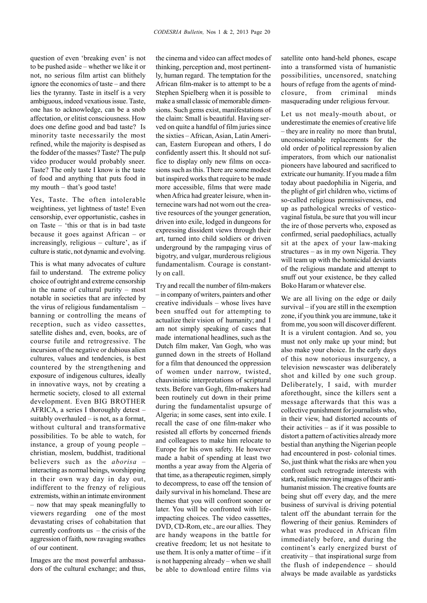question of even 'breaking even' is not to be pushed aside – whether we like it or not, no serious film artist can blithely ignore the economics of taste – and there lies the tyranny. Taste in itself is a very ambiguous, indeed vexatious issue. Taste, one has to acknowledge, can be a snob affectation, or elitist consciousness. How does one define good and bad taste? Is minority taste necessarily the most refined, while the majority is despised as the fodder of the masses? Taste? The pulp video producer would probably sneer. Taste? The only taste I know is the taste of food and anything that puts food in my mouth – that's good taste!

Yes, Taste. The often intolerable weightiness, yet lightness of taste! Even censorship, ever opportunistic, cashes in on Taste – 'this or that is in bad taste because it goes against African – or increasingly, religious – culture', as if culture is static, not dynamic and evolving.

This is what many advocates of culture fail to understand. The extreme policy choice of outright and extreme censorship in the name of cultural purity – most notable in societies that are infected by the virus of religious fundamentalism – banning or controlling the means of reception, such as video cassettes, satellite dishes and, even, books, are of course futile and retrogressive. The incursion of the negative or dubious alien cultures, values and tendencies, is best countered by the strengthening and exposure of indigenous cultures, ideally in innovative ways, not by creating a hermetic society, closed to all external development. Even BIG BROTHER AFRICA, a series I thoroughly detest – suitably overhauled  $-$  is not, as a format, without cultural and transformative possibilities. To be able to watch, for instance, a group of young people – christian, moslem, buddhist, traditional believers such as the *aborisa* – interacting as normal beings, worshipping in their own way day in day out, indifferent to the frenzy of religious extremists, within an intimate environment – now that may speak meaningfully to viewers regarding one of the most devastating crises of cohabitation that currently confronts us  $-$  the crisis of the aggression of faith, now ravaging swathes of our continent.

Images are the most powerful ambassadors of the cultural exchange; and thus,

the cinema and video can affect modes of thinking, perception and, most pertinently, human regard. The temptation for the African film-maker is to attempt to be a Stephen Spielberg when it is possible to make a small classic of memorable dimensions. Such gems exist, manifestations of the claim: Small is beautiful. Having served on quite a handful of film juries since the sixties – African, Asian, Latin American, Eastern European and others, I do confidently assert this. It should not suffice to display only new films on occasions such as this. There are some modest but inspired works that require to be made more accessible, films that were made when Africa had greater leisure, when internecine wars had not worn out the creative resources of the younger generation, driven into exile, lodged in dungeons for expressing dissident views through their art, turned into child soldiers or driven underground by the rampaging virus of bigotry, and vulgar, murderous religious fundamentalism. Courage is constantly on call.

Try and recall the number of film-makers – in company of writers, painters and other creative individuals – whose lives have been snuffed out for attempting to actualize their vision of humanity; and I am not simply speaking of cases that made international headlines, such as the Dutch film maker, Van Gogh, who was gunned down in the streets of Holland for a film that denounced the oppression of women under narrow, twisted, chauvinistic interpretations of scriptural texts. Before van Gogh, film-makers had been routinely cut down in their prime during the fundamentalist upsurge of Algeria; in some cases, sent into exile. I recall the case of one film-maker who resisted all efforts by concerned friends and colleagues to make him relocate to Europe for his own safety. He however made a habit of spending at least two months a year away from the Algeria of that time, as a therapeutic regimen, simply to decompress, to ease off the tension of daily survival in his homeland. These are themes that you will confront sooner or later. You will be confronted with lifeimpacting choices. The video cassettes, DVD, CD-Rom, etc., are our allies. They are handy weapons in the battle for creative freedom; let us not hesitate to use them. It is only a matter of time – if it is not happening already – when we shall be able to download entire films via

satellite onto hand-held phones, escape into a transformed vista of humanistic possibilities, uncensored, snatching hours of refuge from the agents of mindclosure, from criminal minds masquerading under religious fervour.

Let us not mealy-mouth about, or underestimate the enemies of creative life – they are in reality no more than brutal, unconscionable replacements for the old order of political repression by alien imperators, from which our nationalist pioneers have laboured and sacrificed to extricate our humanity. If you made a film today about paedophilia in Nigeria, and the plight of girl children who, victims of so-called religious permissiveness, end up as pathological wrecks of vesticovaginal fistula, be sure that you will incur the ire of those perverts who, exposed as confirmed, serial paedophiliacs, actually sit at the apex of your law-making structures – as in my own Nigeria. They will team up with the homicidal deviants of the religious mandate and attempt to snuff out your existence, be they called Boko Haram or whatever else.

We are all living on the edge or daily survival – if you are still in the exemption zone, if you think you are immune, take it from me, you soon will discover different. It is a virulent contagion. And so, you must not only make up your mind; but also make your choice. In the early days of this now notorious insurgency, a television newscaster was deliberately shot and killed by one such group. Deliberately, I said, with murder aforethought, since the killers sent a message afterwards that this was a collective punishment for journalists who, in their view, had distorted accounts of their activities  $-$  as if it was possible to distort a pattern of activities already more bestial than anything the Nigerian people had encountered in post- colonial times. So, just think what the risks are when you confront such retrograde interests with stark, realistic moving images of their antihumanist mission. The creative founts are being shut off every day, and the mere business of survival is driving potential talent off the abundant terrain for the flowering of their genius. Reminders of what was produced in African film immediately before, and during the continent's early energized burst of creativity – that inspirational surge from the flush of independence – should always be made available as yardsticks